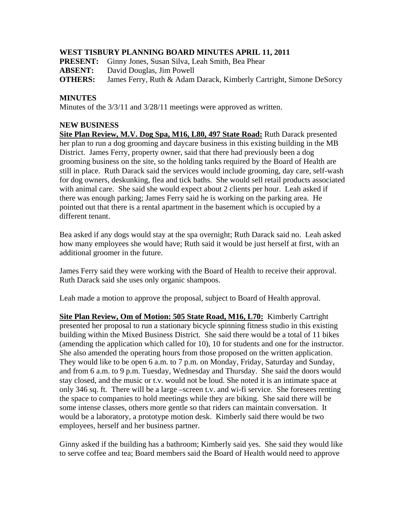## **WEST TISBURY PLANNING BOARD MINUTES APRIL 11, 2011**

**PRESENT:** Ginny Jones, Susan Silva, Leah Smith, Bea Phear

**ABSENT:** David Douglas, Jim Powell

**OTHERS:** James Ferry, Ruth & Adam Darack, Kimberly Cartright, Simone DeSorcy

## **MINUTES**

Minutes of the 3/3/11 and 3/28/11 meetings were approved as written.

## **NEW BUSINESS**

**Site Plan Review, M.V. Dog Spa, M16, L80, 497 State Road:** Ruth Darack presented her plan to run a dog grooming and daycare business in this existing building in the MB District. James Ferry, property owner, said that there had previously been a dog grooming business on the site, so the holding tanks required by the Board of Health are still in place. Ruth Darack said the services would include grooming, day care, self-wash for dog owners, deskunking, flea and tick baths. She would sell retail products associated with animal care. She said she would expect about 2 clients per hour. Leah asked if there was enough parking; James Ferry said he is working on the parking area. He pointed out that there is a rental apartment in the basement which is occupied by a different tenant.

Bea asked if any dogs would stay at the spa overnight; Ruth Darack said no. Leah asked how many employees she would have; Ruth said it would be just herself at first, with an additional groomer in the future.

James Ferry said they were working with the Board of Health to receive their approval. Ruth Darack said she uses only organic shampoos.

Leah made a motion to approve the proposal, subject to Board of Health approval.

**Site Plan Review, Om of Motion: 505 State Road, M16, L70:** Kimberly Cartright presented her proposal to run a stationary bicycle spinning fitness studio in this existing building within the Mixed Business District. She said there would be a total of 11 bikes (amending the application which called for 10), 10 for students and one for the instructor. She also amended the operating hours from those proposed on the written application. They would like to be open 6 a.m. to 7 p.m. on Monday, Friday, Saturday and Sunday, and from 6 a.m. to 9 p.m. Tuesday, Wednesday and Thursday. She said the doors would stay closed, and the music or t.v. would not be loud. She noted it is an intimate space at only 346 sq. ft. There will be a large –screen t.v. and wi-fi service. She foresees renting the space to companies to hold meetings while they are biking. She said there will be some intense classes, others more gentle so that riders can maintain conversation. It would be a laboratory, a prototype motion desk. Kimberly said there would be two employees, herself and her business partner.

Ginny asked if the building has a bathroom; Kimberly said yes. She said they would like to serve coffee and tea; Board members said the Board of Health would need to approve